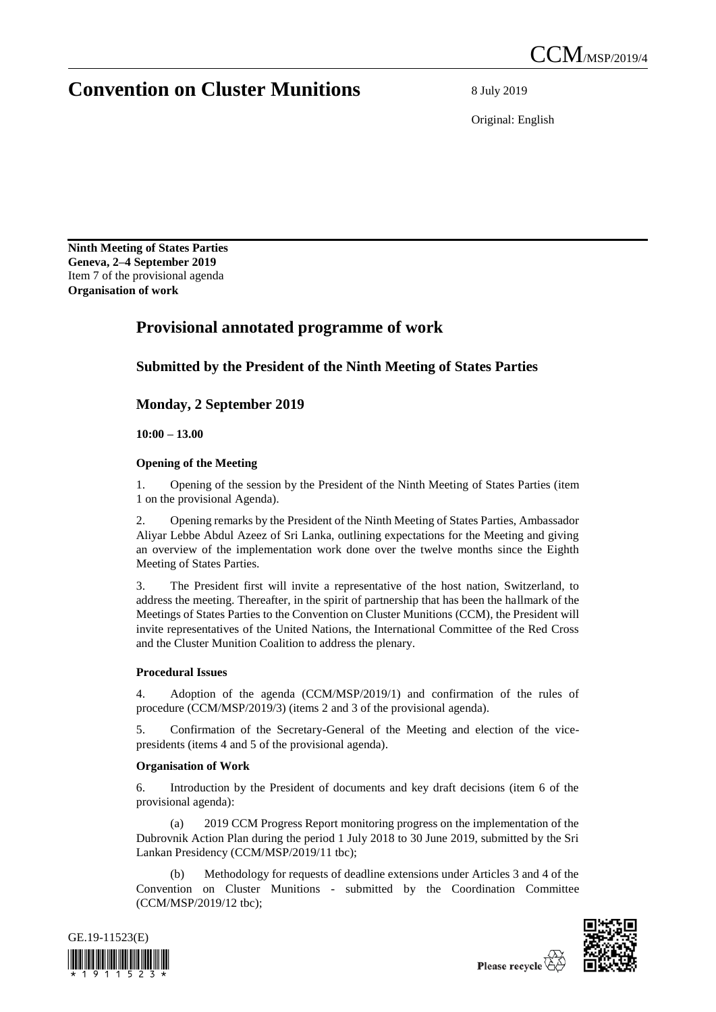# **Convention on Cluster Munitions** 8 July 2019

Original: English

**Ninth Meeting of States Parties Geneva, 2–4 September 2019** Item 7 of the provisional agenda **Organisation of work**

## **Provisional annotated programme of work**

### **Submitted by the President of the Ninth Meeting of States Parties**

**Monday, 2 September 2019**

**10:00 – 13.00** 

### **Opening of the Meeting**

1. Opening of the session by the President of the Ninth Meeting of States Parties (item 1 on the provisional Agenda).

2. Opening remarks by the President of the Ninth Meeting of States Parties, Ambassador Aliyar Lebbe Abdul Azeez of Sri Lanka, outlining expectations for the Meeting and giving an overview of the implementation work done over the twelve months since the Eighth Meeting of States Parties.

3. The President first will invite a representative of the host nation, Switzerland, to address the meeting. Thereafter, in the spirit of partnership that has been the hallmark of the Meetings of States Parties to the Convention on Cluster Munitions (CCM), the President will invite representatives of the United Nations, the International Committee of the Red Cross and the Cluster Munition Coalition to address the plenary.

### **Procedural Issues**

4. Adoption of the agenda (CCM/MSP/2019/1) and confirmation of the rules of procedure (CCM/MSP/2019/3) (items 2 and 3 of the provisional agenda).

5. Confirmation of the Secretary-General of the Meeting and election of the vicepresidents (items 4 and 5 of the provisional agenda).

### **Organisation of Work**

6. Introduction by the President of documents and key draft decisions (item 6 of the provisional agenda):

(a) 2019 CCM Progress Report monitoring progress on the implementation of the Dubrovnik Action Plan during the period 1 July 2018 to 30 June 2019, submitted by the Sri Lankan Presidency (CCM/MSP/2019/11 tbc);

Methodology for requests of deadline extensions under Articles 3 and 4 of the Convention on Cluster Munitions - submitted by the Coordination Committee (CCM/MSP/2019/12 tbc);



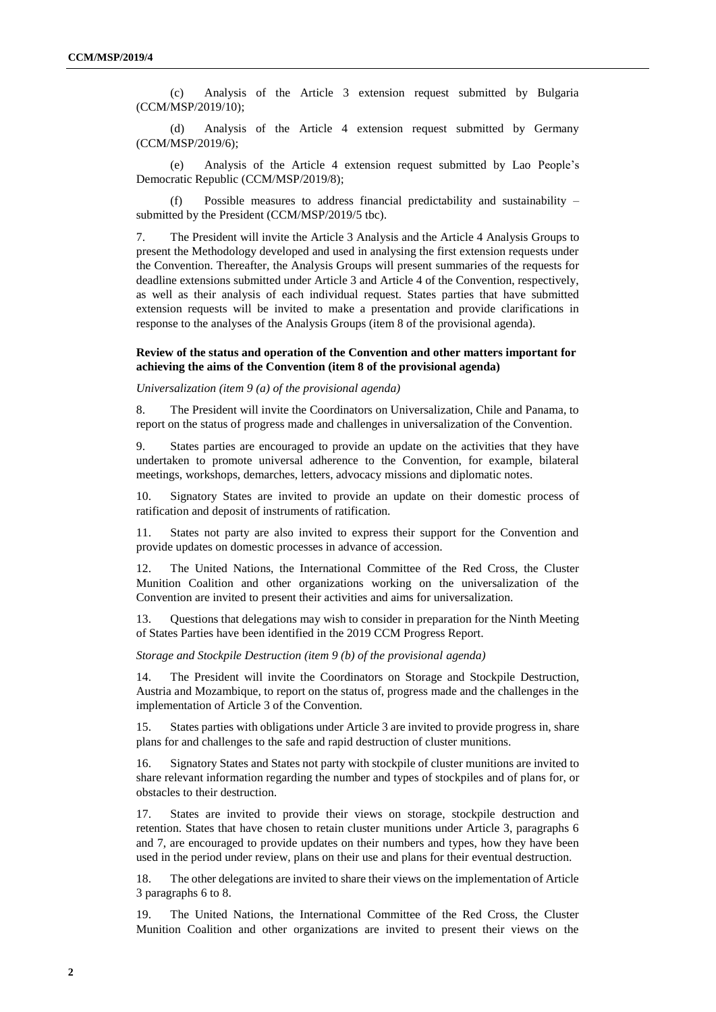(c) Analysis of the Article 3 extension request submitted by Bulgaria (CCM/MSP/2019/10);

(d) Analysis of the Article 4 extension request submitted by Germany (CCM/MSP/2019/6);

(e) Analysis of the Article 4 extension request submitted by Lao People's Democratic Republic (CCM/MSP/2019/8);

(f) Possible measures to address financial predictability and sustainability – submitted by the President (CCM/MSP/2019/5 tbc).

7. The President will invite the Article 3 Analysis and the Article 4 Analysis Groups to present the Methodology developed and used in analysing the first extension requests under the Convention. Thereafter, the Analysis Groups will present summaries of the requests for deadline extensions submitted under Article 3 and Article 4 of the Convention, respectively, as well as their analysis of each individual request. States parties that have submitted extension requests will be invited to make a presentation and provide clarifications in response to the analyses of the Analysis Groups (item 8 of the provisional agenda).

### **Review of the status and operation of the Convention and other matters important for achieving the aims of the Convention (item 8 of the provisional agenda)**

### *Universalization (item 9 (a) of the provisional agenda)*

8. The President will invite the Coordinators on Universalization, Chile and Panama, to report on the status of progress made and challenges in universalization of the Convention.

9. States parties are encouraged to provide an update on the activities that they have undertaken to promote universal adherence to the Convention, for example, bilateral meetings, workshops, demarches, letters, advocacy missions and diplomatic notes.

10. Signatory States are invited to provide an update on their domestic process of ratification and deposit of instruments of ratification.

11. States not party are also invited to express their support for the Convention and provide updates on domestic processes in advance of accession.

12. The United Nations, the International Committee of the Red Cross, the Cluster Munition Coalition and other organizations working on the universalization of the Convention are invited to present their activities and aims for universalization.

13. Questions that delegations may wish to consider in preparation for the Ninth Meeting of States Parties have been identified in the 2019 CCM Progress Report.

*Storage and Stockpile Destruction (item 9 (b) of the provisional agenda)*

14. The President will invite the Coordinators on Storage and Stockpile Destruction, Austria and Mozambique, to report on the status of, progress made and the challenges in the implementation of Article 3 of the Convention.

15. States parties with obligations under Article 3 are invited to provide progress in, share plans for and challenges to the safe and rapid destruction of cluster munitions.

16. Signatory States and States not party with stockpile of cluster munitions are invited to share relevant information regarding the number and types of stockpiles and of plans for, or obstacles to their destruction.

17. States are invited to provide their views on storage, stockpile destruction and retention. States that have chosen to retain cluster munitions under Article 3, paragraphs 6 and 7, are encouraged to provide updates on their numbers and types, how they have been used in the period under review, plans on their use and plans for their eventual destruction.

18. The other delegations are invited to share their views on the implementation of Article 3 paragraphs 6 to 8.

19. The United Nations, the International Committee of the Red Cross, the Cluster Munition Coalition and other organizations are invited to present their views on the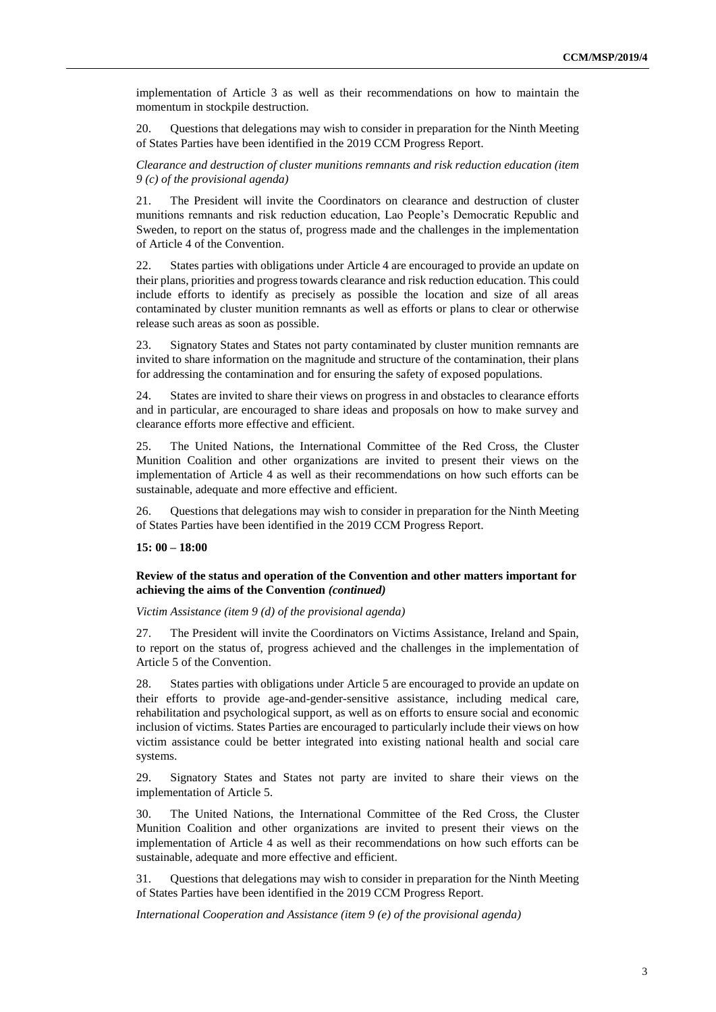implementation of Article 3 as well as their recommendations on how to maintain the momentum in stockpile destruction.

20. Questions that delegations may wish to consider in preparation for the Ninth Meeting of States Parties have been identified in the 2019 CCM Progress Report.

*Clearance and destruction of cluster munitions remnants and risk reduction education (item 9 (c) of the provisional agenda)*

21. The President will invite the Coordinators on clearance and destruction of cluster munitions remnants and risk reduction education, Lao People's Democratic Republic and Sweden, to report on the status of, progress made and the challenges in the implementation of Article 4 of the Convention.

22. States parties with obligations under Article 4 are encouraged to provide an update on their plans, priorities and progress towards clearance and risk reduction education. This could include efforts to identify as precisely as possible the location and size of all areas contaminated by cluster munition remnants as well as efforts or plans to clear or otherwise release such areas as soon as possible.

23. Signatory States and States not party contaminated by cluster munition remnants are invited to share information on the magnitude and structure of the contamination, their plans for addressing the contamination and for ensuring the safety of exposed populations.

24. States are invited to share their views on progress in and obstacles to clearance efforts and in particular, are encouraged to share ideas and proposals on how to make survey and clearance efforts more effective and efficient.

25. The United Nations, the International Committee of the Red Cross, the Cluster Munition Coalition and other organizations are invited to present their views on the implementation of Article 4 as well as their recommendations on how such efforts can be sustainable, adequate and more effective and efficient.

26. Questions that delegations may wish to consider in preparation for the Ninth Meeting of States Parties have been identified in the 2019 CCM Progress Report.

### **15: 00 – 18:00**

### **Review of the status and operation of the Convention and other matters important for achieving the aims of the Convention** *(continued)*

*Victim Assistance (item 9 (d) of the provisional agenda)*

27. The President will invite the Coordinators on Victims Assistance, Ireland and Spain, to report on the status of, progress achieved and the challenges in the implementation of Article 5 of the Convention.

28. States parties with obligations under Article 5 are encouraged to provide an update on their efforts to provide age-and-gender-sensitive assistance, including medical care, rehabilitation and psychological support, as well as on efforts to ensure social and economic inclusion of victims. States Parties are encouraged to particularly include their views on how victim assistance could be better integrated into existing national health and social care systems.

29. Signatory States and States not party are invited to share their views on the implementation of Article 5.

30. The United Nations, the International Committee of the Red Cross, the Cluster Munition Coalition and other organizations are invited to present their views on the implementation of Article 4 as well as their recommendations on how such efforts can be sustainable, adequate and more effective and efficient.

31. Questions that delegations may wish to consider in preparation for the Ninth Meeting of States Parties have been identified in the 2019 CCM Progress Report.

*International Cooperation and Assistance (item 9 (e) of the provisional agenda)*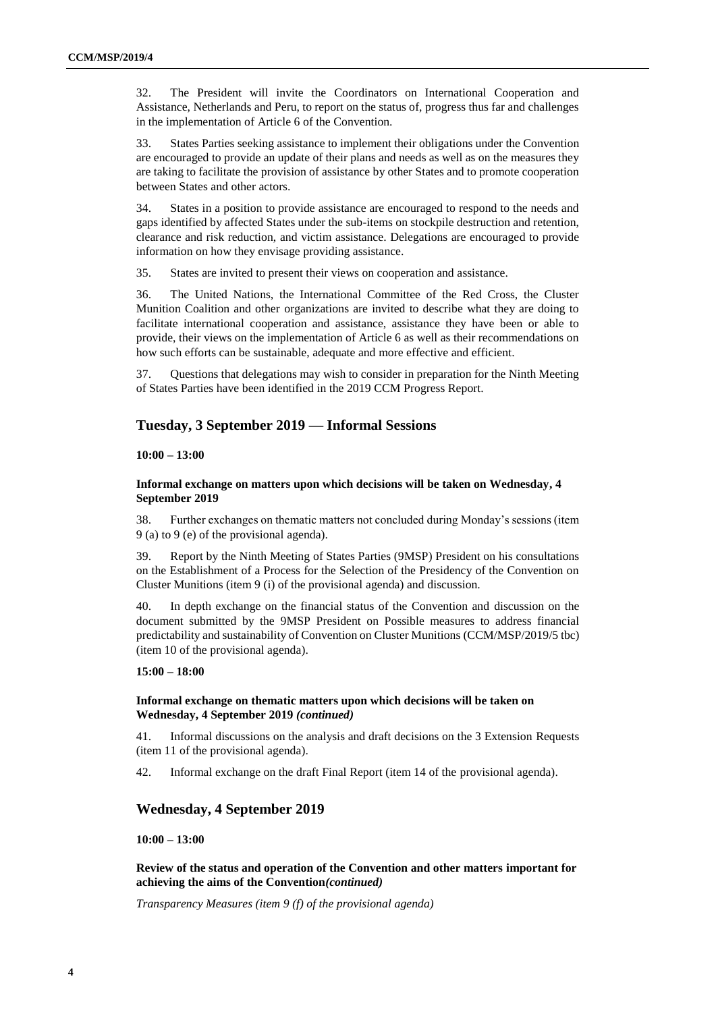32. The President will invite the Coordinators on International Cooperation and Assistance, Netherlands and Peru, to report on the status of, progress thus far and challenges in the implementation of Article 6 of the Convention.

33. States Parties seeking assistance to implement their obligations under the Convention are encouraged to provide an update of their plans and needs as well as on the measures they are taking to facilitate the provision of assistance by other States and to promote cooperation between States and other actors.

34. States in a position to provide assistance are encouraged to respond to the needs and gaps identified by affected States under the sub-items on stockpile destruction and retention, clearance and risk reduction, and victim assistance. Delegations are encouraged to provide information on how they envisage providing assistance.

35. States are invited to present their views on cooperation and assistance.

36. The United Nations, the International Committee of the Red Cross, the Cluster Munition Coalition and other organizations are invited to describe what they are doing to facilitate international cooperation and assistance, assistance they have been or able to provide, their views on the implementation of Article 6 as well as their recommendations on how such efforts can be sustainable, adequate and more effective and efficient.

37. Questions that delegations may wish to consider in preparation for the Ninth Meeting of States Parties have been identified in the 2019 CCM Progress Report.

### **Tuesday, 3 September 2019 — Informal Sessions**

### **10:00 – 13:00**

### **Informal exchange on matters upon which decisions will be taken on Wednesday, 4 September 2019**

38. Further exchanges on thematic matters not concluded during Monday's sessions (item 9 (a) to 9 (e) of the provisional agenda).

39. Report by the Ninth Meeting of States Parties (9MSP) President on his consultations on the Establishment of a Process for the Selection of the Presidency of the Convention on Cluster Munitions (item 9 (i) of the provisional agenda) and discussion.

40. In depth exchange on the financial status of the Convention and discussion on the document submitted by the 9MSP President on Possible measures to address financial predictability and sustainability of Convention on Cluster Munitions (CCM/MSP/2019/5 tbc) (item 10 of the provisional agenda).

#### **15:00 – 18:00**

### **Informal exchange on thematic matters upon which decisions will be taken on Wednesday, 4 September 2019** *(continued)*

41. Informal discussions on the analysis and draft decisions on the 3 Extension Requests (item 11 of the provisional agenda).

42. Informal exchange on the draft Final Report (item 14 of the provisional agenda).

### **Wednesday, 4 September 2019**

#### **10:00 – 13:00**

**Review of the status and operation of the Convention and other matters important for achieving the aims of the Convention***(continued)*

*Transparency Measures (item 9 (f) of the provisional agenda)*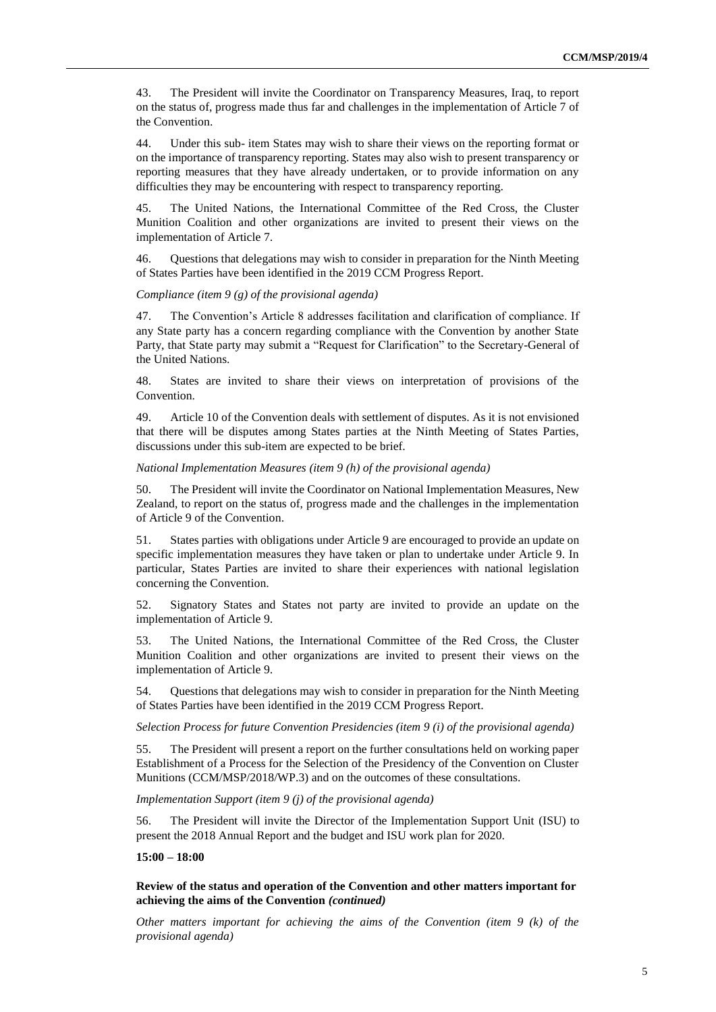43. The President will invite the Coordinator on Transparency Measures, Iraq, to report on the status of, progress made thus far and challenges in the implementation of Article 7 of the Convention.

44. Under this sub- item States may wish to share their views on the reporting format or on the importance of transparency reporting. States may also wish to present transparency or reporting measures that they have already undertaken, or to provide information on any difficulties they may be encountering with respect to transparency reporting.

45. The United Nations, the International Committee of the Red Cross, the Cluster Munition Coalition and other organizations are invited to present their views on the implementation of Article 7.

46. Questions that delegations may wish to consider in preparation for the Ninth Meeting of States Parties have been identified in the 2019 CCM Progress Report.

*Compliance (item 9 (g) of the provisional agenda)*

47. The Convention's Article 8 addresses facilitation and clarification of compliance. If any State party has a concern regarding compliance with the Convention by another State Party, that State party may submit a "Request for Clarification" to the Secretary-General of the United Nations.

48. States are invited to share their views on interpretation of provisions of the Convention.

49. Article 10 of the Convention deals with settlement of disputes. As it is not envisioned that there will be disputes among States parties at the Ninth Meeting of States Parties, discussions under this sub-item are expected to be brief.

#### *National Implementation Measures (item 9 (h) of the provisional agenda)*

50. The President will invite the Coordinator on National Implementation Measures, New Zealand, to report on the status of, progress made and the challenges in the implementation of Article 9 of the Convention.

51. States parties with obligations under Article 9 are encouraged to provide an update on specific implementation measures they have taken or plan to undertake under Article 9. In particular, States Parties are invited to share their experiences with national legislation concerning the Convention.

52. Signatory States and States not party are invited to provide an update on the implementation of Article 9.

53. The United Nations, the International Committee of the Red Cross, the Cluster Munition Coalition and other organizations are invited to present their views on the implementation of Article 9.

54. Questions that delegations may wish to consider in preparation for the Ninth Meeting of States Parties have been identified in the 2019 CCM Progress Report.

*Selection Process for future Convention Presidencies (item 9 (i) of the provisional agenda)*

55. The President will present a report on the further consultations held on working paper Establishment of a Process for the Selection of the Presidency of the Convention on Cluster Munitions (CCM/MSP/2018/WP.3) and on the outcomes of these consultations.

*Implementation Support (item 9 (j) of the provisional agenda)*

56. The President will invite the Director of the Implementation Support Unit (ISU) to present the 2018 Annual Report and the budget and ISU work plan for 2020.

#### **15:00 – 18:00**

### **Review of the status and operation of the Convention and other matters important for achieving the aims of the Convention** *(continued)*

*Other matters important for achieving the aims of the Convention (item 9 (k) of the provisional agenda)*